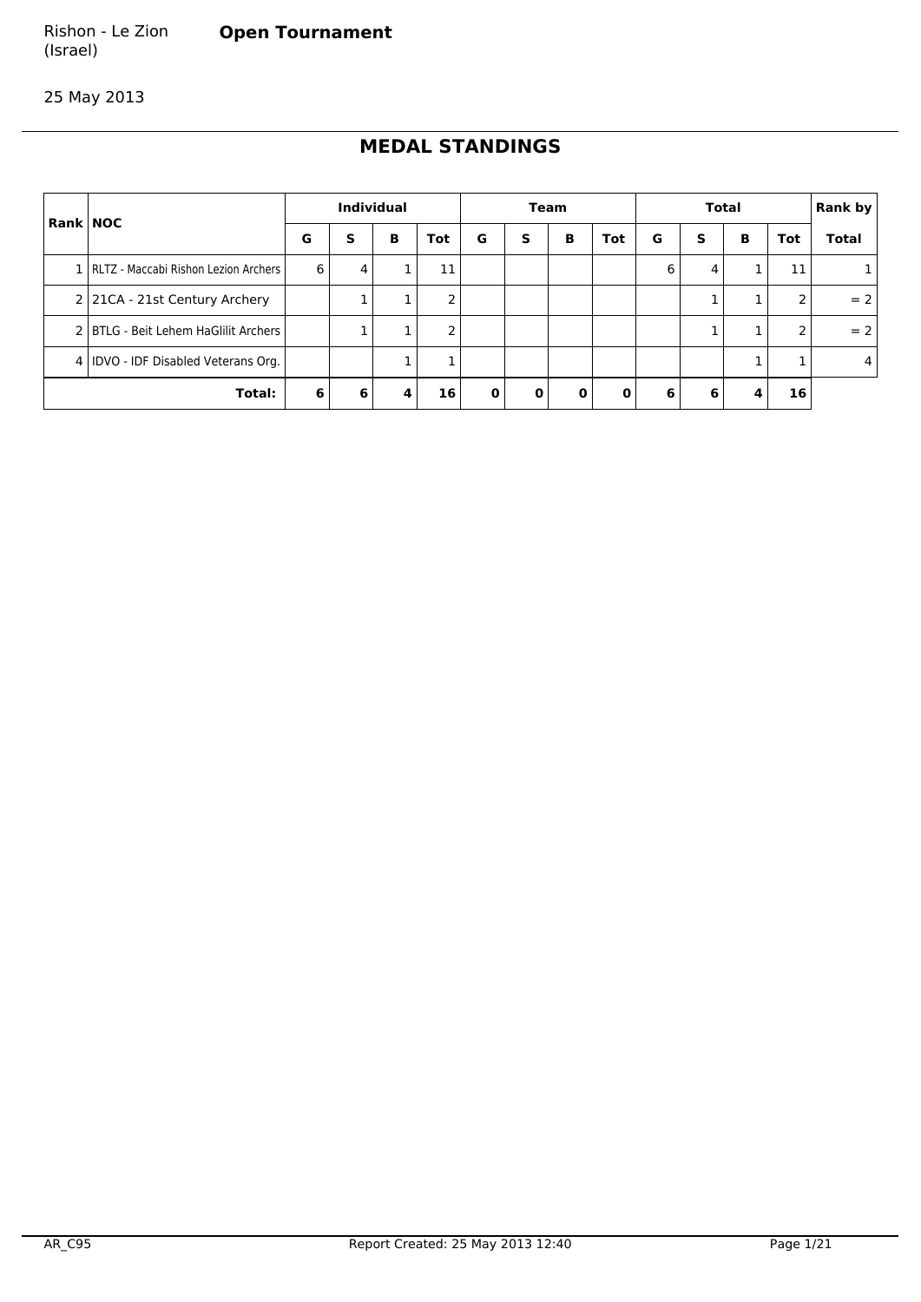### Rishon - Le Zion **Open Tournament**

(Israel)

25 May 2013

## **MEDAL STANDINGS**

| <b>Rank NOC</b>                          | <b>Individual</b> |   | Team |                |             | <b>Total</b> |             |     | <b>Rank by</b> |   |   |     |       |
|------------------------------------------|-------------------|---|------|----------------|-------------|--------------|-------------|-----|----------------|---|---|-----|-------|
|                                          | G                 | S | в    | Tot            | G           | s            | в           | Tot | G              | s | в | Tot | Total |
| 1   RLTZ - Maccabi Rishon Lezion Archers | 6                 | 4 |      | 11             |             |              |             |     | 6              | 4 |   | 11  |       |
| 2   21CA - 21st Century Archery          |                   |   |      | 2              |             |              |             |     |                |   |   | ∍   | $= 2$ |
| 2 BTLG - Beit Lehem HaGlilit Archers     |                   |   |      | $\overline{2}$ |             |              |             |     |                |   |   |     | $= 2$ |
| 4   IDVO - IDF Disabled Veterans Org.    |                   |   |      |                |             |              |             |     |                |   |   |     | 4     |
| Total:                                   | 6                 | 6 | 4    | 16             | $\mathbf 0$ | 0            | $\mathbf 0$ | 0   | 6              | 6 |   | 16  |       |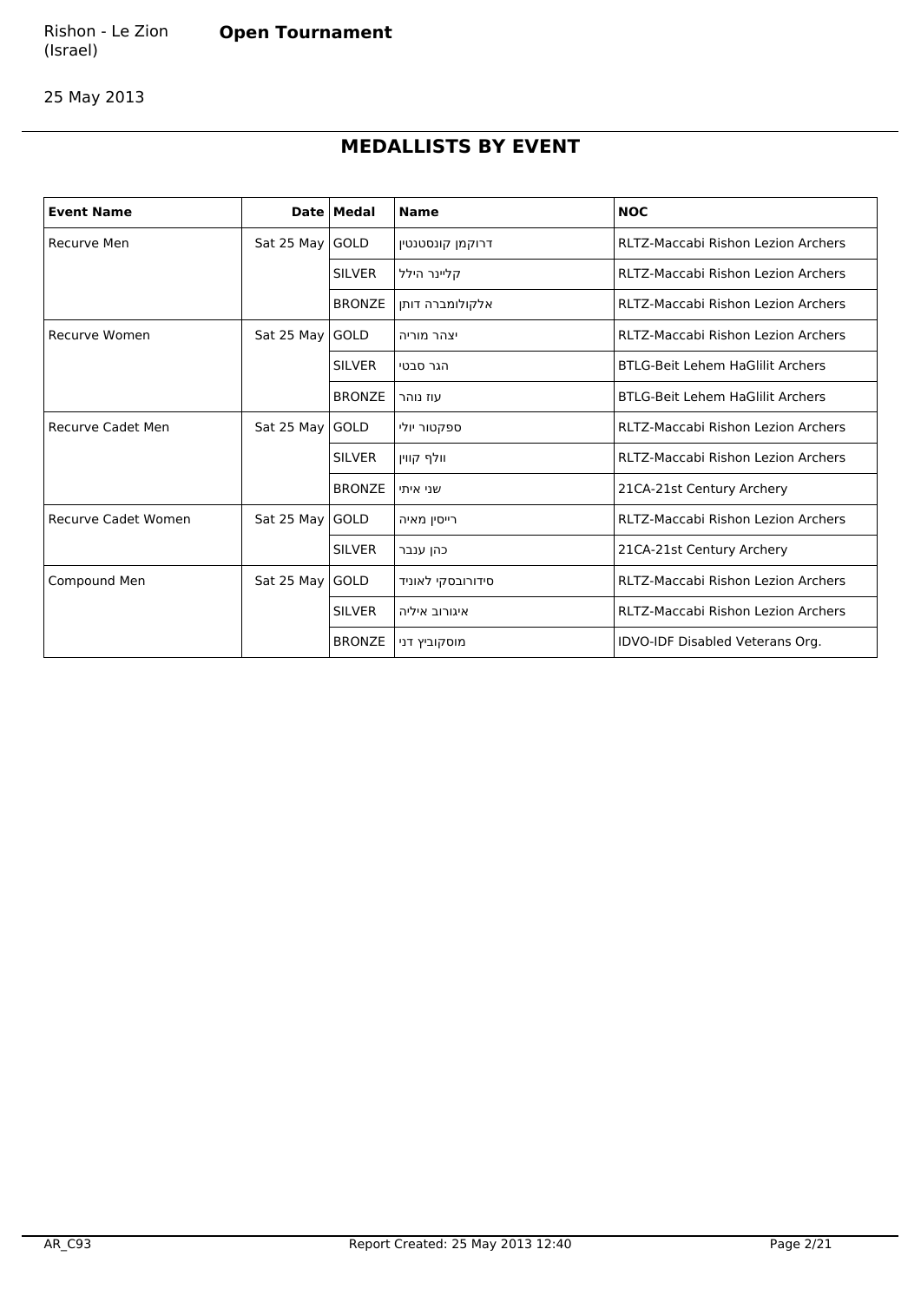## **MEDALLISTS BY EVENT**

| <b>Event Name</b>    |                   | Date   Medal  | <b>Name</b>       | <b>NOC</b>                                |
|----------------------|-------------------|---------------|-------------------|-------------------------------------------|
| <b>Recurve Men</b>   | Sat 25 May   GOLD |               | דרוקמן קונסטנטין  | RLTZ-Maccabi Rishon Lezion Archers        |
|                      |                   | <b>SILVER</b> | קליינר הילל       | RLTZ-Maccabi Rishon Lezion Archers        |
|                      |                   | <b>BRONZE</b> | אלקולומברה דותן   | RLTZ-Maccabi Rishon Lezion Archers        |
| <b>Recurve Women</b> | Sat 25 May GOLD   |               | יצהר מוריה        | RLTZ-Maccabi Rishon Lezion Archers        |
|                      |                   | <b>SILVER</b> | הגר סבטי          | <b>BTLG-Beit Lehem HaGlilit Archers</b>   |
|                      |                   | <b>BRONZE</b> | עוז נוהר          | <b>BTLG-Beit Lehem HaGlilit Archers</b>   |
| Recurve Cadet Men    | Sat 25 May $GOLD$ |               | ספקטור יולי       | RLTZ-Maccabi Rishon Lezion Archers        |
|                      |                   | <b>SILVER</b> | וולף קווין        | <b>RLTZ-Maccabi Rishon Lezion Archers</b> |
|                      |                   | <b>BRONZE</b> | שני איתי          | 21CA-21st Century Archery                 |
| Recurve Cadet Women  | Sat 25 May GOLD   |               | רייסין מאיה       | RLTZ-Maccabi Rishon Lezion Archers        |
|                      |                   | <b>SILVER</b> | כהן ענבר          | 21CA-21st Century Archery                 |
| Compound Men         | Sat 25 May GOLD   |               | סידורובסקי לאוניד | RLTZ-Maccabi Rishon Lezion Archers        |
|                      |                   | <b>SILVER</b> | איגורוב איליה     | RLTZ-Maccabi Rishon Lezion Archers        |
|                      |                   | <b>BRONZE</b> | מוסקוביץ דני      | IDVO-IDF Disabled Veterans Org.           |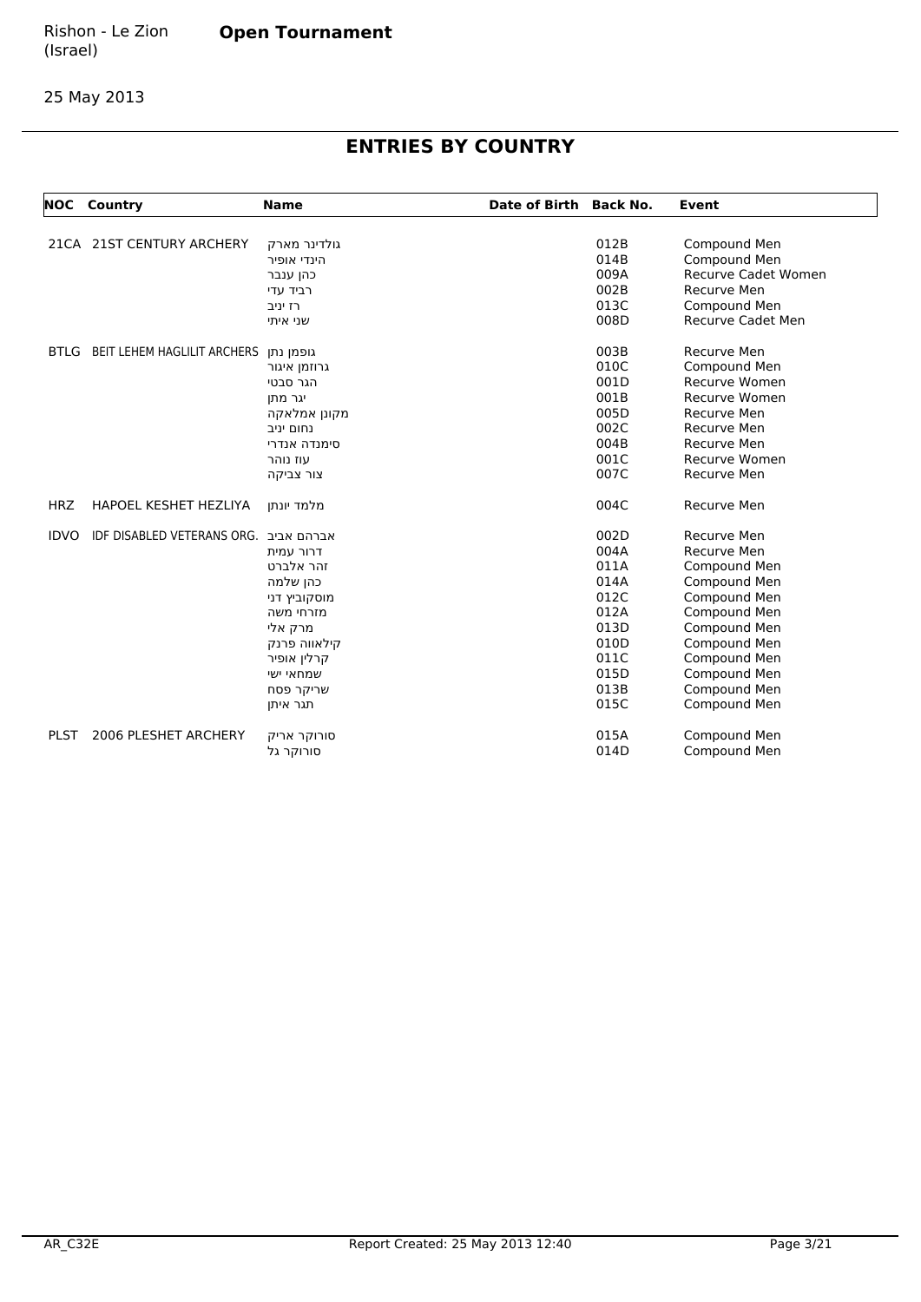## **ENTRIES BY COUNTRY**

|             | <b>NOC</b> Country                 | <b>Name</b>  | Date of Birth Back No. |      | Event                      |
|-------------|------------------------------------|--------------|------------------------|------|----------------------------|
|             | 21CA 21ST CENTURY ARCHERY          | גולדינר מארק |                        | 012B | Compound Men               |
|             |                                    | הינדי אופיר  |                        | 014B | Compound Men               |
|             |                                    | כהן ענבר     |                        | 009A | <b>Recurve Cadet Women</b> |
|             |                                    | רביד עדי     |                        | 002B | Recurve Men                |
|             |                                    | רז יניב      |                        | 013C | Compound Men               |
|             |                                    | שני איתי     |                        | 008D | <b>Recurve Cadet Men</b>   |
| BTLG        | <b>BEIT LEHEM HAGLILIT ARCHERS</b> | גופמן נתן    |                        | 003B | Recurve Men                |
|             |                                    | גרוזמן איגור |                        | 010C | Compound Men               |
|             |                                    | הגר סבטי     |                        | 001D | <b>Recurve Women</b>       |
|             |                                    | יגר מתן      |                        | 001B | <b>Recurve Women</b>       |
|             |                                    | מקונן אמלאקה |                        | 005D | Recurve Men                |
|             |                                    | נחום יניב    |                        | 002C | <b>Recurve Men</b>         |
|             |                                    | סימנדה אנדרי |                        | 004B | <b>Recurve Men</b>         |
|             |                                    | עוז נוהר     |                        | 001C | Recurve Women              |
|             |                                    | צור צביקה    |                        | 007C | Recurve Men                |
| <b>HRZ</b>  | HAPOEL KESHET HEZLIYA              | מלמד יונתן   |                        | 004C | Recurve Men                |
| <b>IDVO</b> | IDF DISABLED VETERANS ORG.         | אברהם אביב   |                        | 002D | Recurve Men                |
|             |                                    | דרור עמית    |                        | 004A | Recurve Men                |
|             |                                    | זהר אלברט    |                        | 011A | Compound Men               |
|             |                                    | כהן שלמה     |                        | 014A | Compound Men               |
|             |                                    | מוסקוביץ דני |                        | 012C | Compound Men               |
|             |                                    | מזרחי משה    |                        | 012A | Compound Men               |
|             |                                    | מרק אלי      |                        | 013D | Compound Men               |
|             |                                    | קילאווה פרנק |                        | 010D | Compound Men               |
|             |                                    | קרלין אופיר  |                        | 011C | Compound Men               |
|             |                                    | שמחאי ישי    |                        | 015D | Compound Men               |
|             |                                    | שריקר פסח    |                        | 013B | Compound Men               |
|             |                                    | תגר איתן     |                        | 015C | Compound Men               |
| PLST        | 2006 PLESHET ARCHERY               | סורוקר אריק  |                        | 015A | Compound Men               |
|             |                                    | סורוקר גל    |                        | 014D | Compound Men               |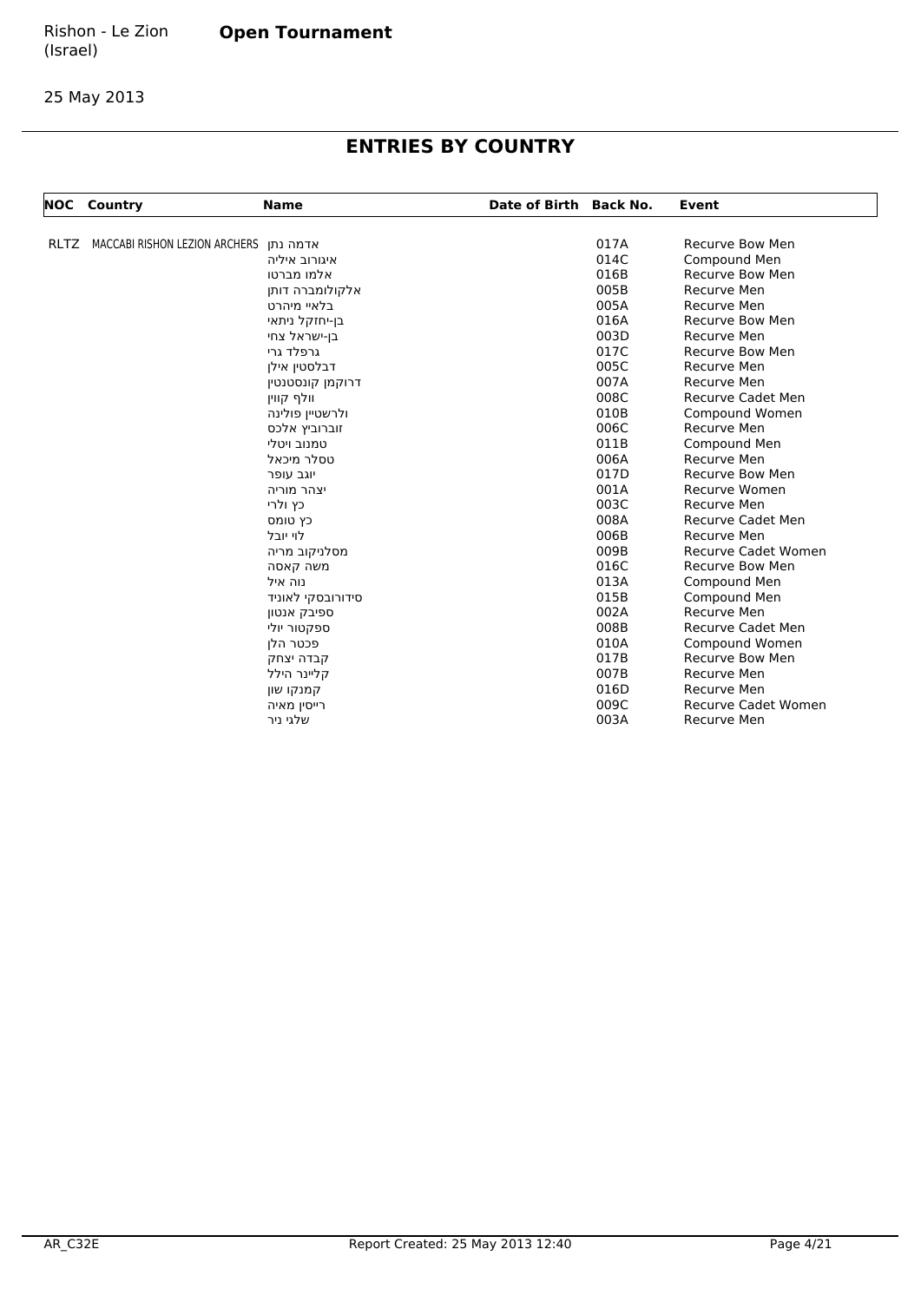## **ENTRIES BY COUNTRY**

|             | <b>NOC</b> Country            | <b>Name</b>       | Date of Birth Back No. |      | Event                      |
|-------------|-------------------------------|-------------------|------------------------|------|----------------------------|
|             |                               |                   |                        |      |                            |
| <b>RLTZ</b> | MACCABI RISHON LEZION ARCHERS | אדמה נתן          |                        | 017A | <b>Recurve Bow Men</b>     |
|             |                               | איגורוב איליה     |                        | 014C | Compound Men               |
|             |                               | אלמו מברטו        |                        | 016B | <b>Recurve Bow Men</b>     |
|             |                               | אלקולומברה דותן   |                        | 005B | Recurve Men                |
|             |                               | בלאיי מיהרט       |                        | 005A | Recurve Men                |
|             |                               | בן-יחזקל ניתאי    |                        | 016A | Recurve Bow Men            |
|             |                               | בן-ישראל צחי      |                        | 003D | Recurve Men                |
|             |                               | גרפלד גרי         |                        | 017C | Recurve Bow Men            |
|             |                               | דבלסטין אילן      |                        | 005C | Recurve Men                |
|             |                               | דרוקמן קונסטנטין  |                        | 007A | Recurve Men                |
|             |                               | וולף קווין        |                        | 008C | <b>Recurve Cadet Men</b>   |
|             |                               | ולרשטיין פולינה   |                        | 010B | Compound Women             |
|             |                               | זוברוביץ אלכס     |                        | 006C | Recurve Men                |
|             |                               | טמנוב ויטלי       |                        | 011B | Compound Men               |
|             |                               | טסלר מיכאל        |                        | 006A | Recurve Men                |
|             |                               | יוגב עופר         |                        | 017D | <b>Recurve Bow Men</b>     |
|             |                               | יצהר מוריה        |                        | 001A | <b>Recurve Women</b>       |
|             |                               | כץ ולרי           |                        | 003C | Recurve Men                |
|             |                               | כץ טומס           |                        | 008A | Recurve Cadet Men          |
|             |                               | לוי יובל          |                        | 006B | Recurve Men                |
|             |                               | מסלניקוב מריה     |                        | 009B | <b>Recurve Cadet Women</b> |
|             |                               | משה קאסה          |                        | 016C | Recurve Bow Men            |
|             |                               | נוה איל           |                        | 013A | Compound Men               |
|             |                               | סידורובסקי לאוניד |                        | 015B | Compound Men               |
|             |                               | ספיבק אנטון       |                        | 002A | Recurve Men                |
|             |                               | ספקטור יולי       |                        | 008B | Recurve Cadet Men          |
|             |                               | פכטר הלן          |                        | 010A | Compound Women             |
|             |                               | קבדה יצחק         |                        | 017B | <b>Recurve Bow Men</b>     |
|             |                               | קליינר הילל       |                        | 007B | Recurve Men                |
|             |                               | קמנקו שון         |                        | 016D | Recurve Men                |
|             |                               | רייסין מאיה       |                        | 009C | <b>Recurve Cadet Women</b> |
|             |                               | שלגי ניר          |                        | 003A | Recurve Men                |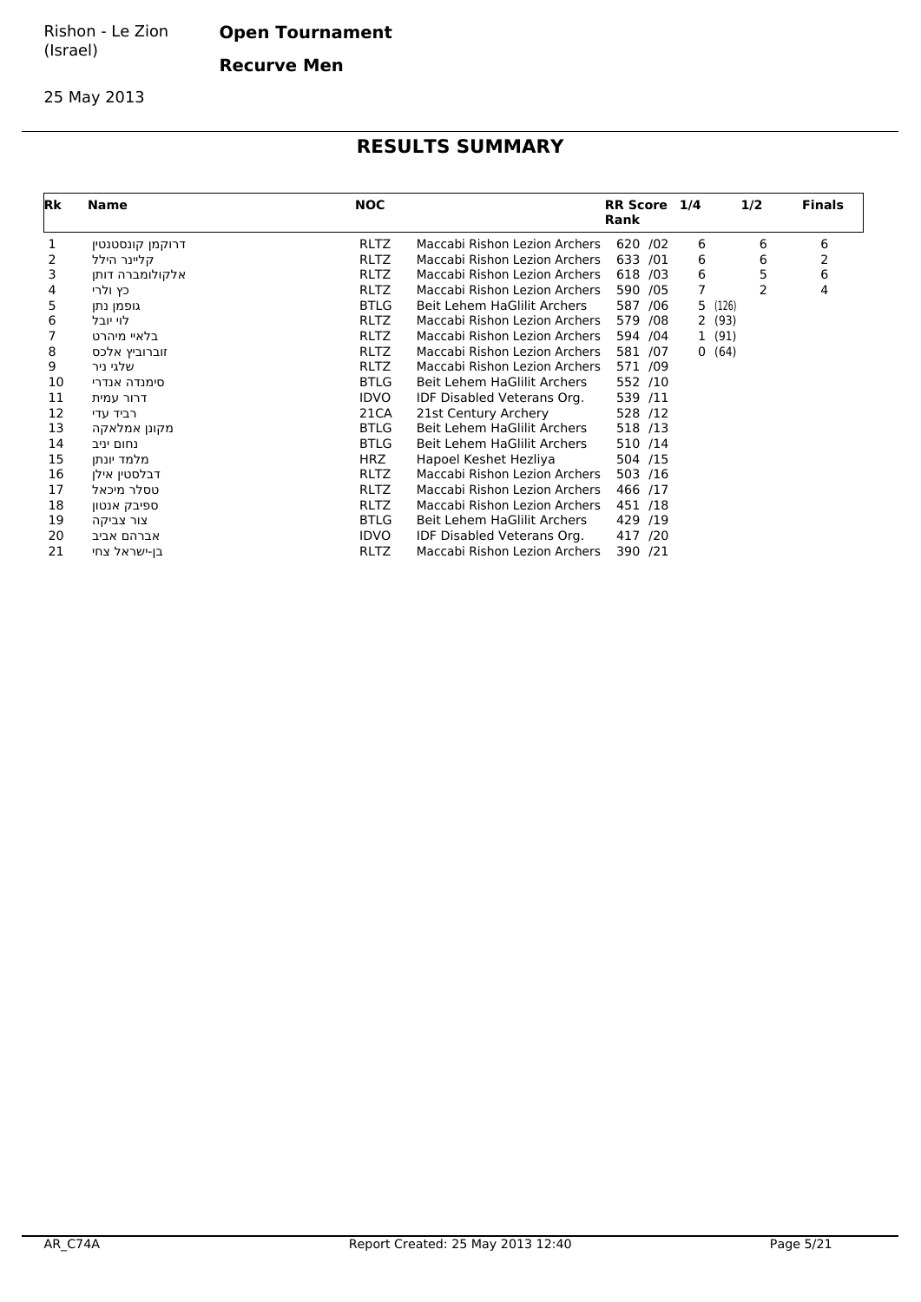**Open Tournament**

**Recurve Men**

25 May 2013

| <b>Rk</b> | <b>Name</b>      | <b>NOC</b>  |                               | RR Score 1/4<br>Rank |   | 1/2            | <b>Finals</b> |
|-----------|------------------|-------------|-------------------------------|----------------------|---|----------------|---------------|
| 1         | דרוקמן קונסטנטין | RLTZ        | Maccabi Rishon Lezion Archers | 620 / 02             | 6 | 6              | 6             |
| 2         | קליינר הילל      | <b>RLTZ</b> | Maccabi Rishon Lezion Archers | 633 /01              | 6 | 6              | 2             |
| 3         | אלקולומברה דותן  | <b>RLTZ</b> | Maccabi Rishon Lezion Archers | 618 /03              | 6 | 5              | 6             |
| 4         | כץ ולרי          | <b>RLTZ</b> | Maccabi Rishon Lezion Archers | 590 /05              | 7 | $\overline{2}$ | 4             |
| 5         | גופמן נתן        | <b>BTLG</b> | Beit Lehem HaGlilit Archers   | 587 / 06             |   | 5(126)         |               |
| 6         | לוי יובל         | <b>RLTZ</b> | Maccabi Rishon Lezion Archers | 579 /08              |   | 2(93)          |               |
|           | בלאיי מיהרט      | <b>RLTZ</b> | Maccabi Rishon Lezion Archers | 594 /04              |   | 1(91)          |               |
| 8         | זוברוביץ אלכס    | <b>RLTZ</b> | Maccabi Rishon Lezion Archers | 581 /07              |   | 0(64)          |               |
| 9         | שלגי ניר         | <b>RLTZ</b> | Maccabi Rishon Lezion Archers | 571 /09              |   |                |               |
| 10        | סימנדה אנדרי     | <b>BTLG</b> | Beit Lehem HaGlilit Archers   | 552 /10              |   |                |               |
| 11        | דרור עמית        | <b>IDVO</b> | IDF Disabled Veterans Org.    | 539 /11              |   |                |               |
| 12        | רביד עדי         | 21CA        | 21st Century Archery          | 528 /12              |   |                |               |
| 13        | מקונן אמלאקה     | <b>BTLG</b> | Beit Lehem HaGlilit Archers   | 518 /13              |   |                |               |
| 14        | נחום יניב        | <b>BTLG</b> | Beit Lehem HaGlilit Archers   | 510 /14              |   |                |               |
| 15        | מלמד יונתן       | <b>HRZ</b>  | Hapoel Keshet Hezliya         | 504 /15              |   |                |               |
| 16        | דבלסטין אילן     | <b>RLTZ</b> | Maccabi Rishon Lezion Archers | 503 /16              |   |                |               |
| 17        | טסלר מיכאל       | <b>RLTZ</b> | Maccabi Rishon Lezion Archers | 466 /17              |   |                |               |
| 18        | ספיבק אנטון      | <b>RLTZ</b> | Maccabi Rishon Lezion Archers | 451 /18              |   |                |               |
| 19        | צור צביקה        | <b>BTLG</b> | Beit Lehem HaGlilit Archers   | 429 /19              |   |                |               |
| 20        | אברהם אביב       | <b>IDVO</b> | IDF Disabled Veterans Org.    | 417 /20              |   |                |               |
| 21        | בן-ישראל צחי     | RLTZ        | Maccabi Rishon Lezion Archers | 390 /21              |   |                |               |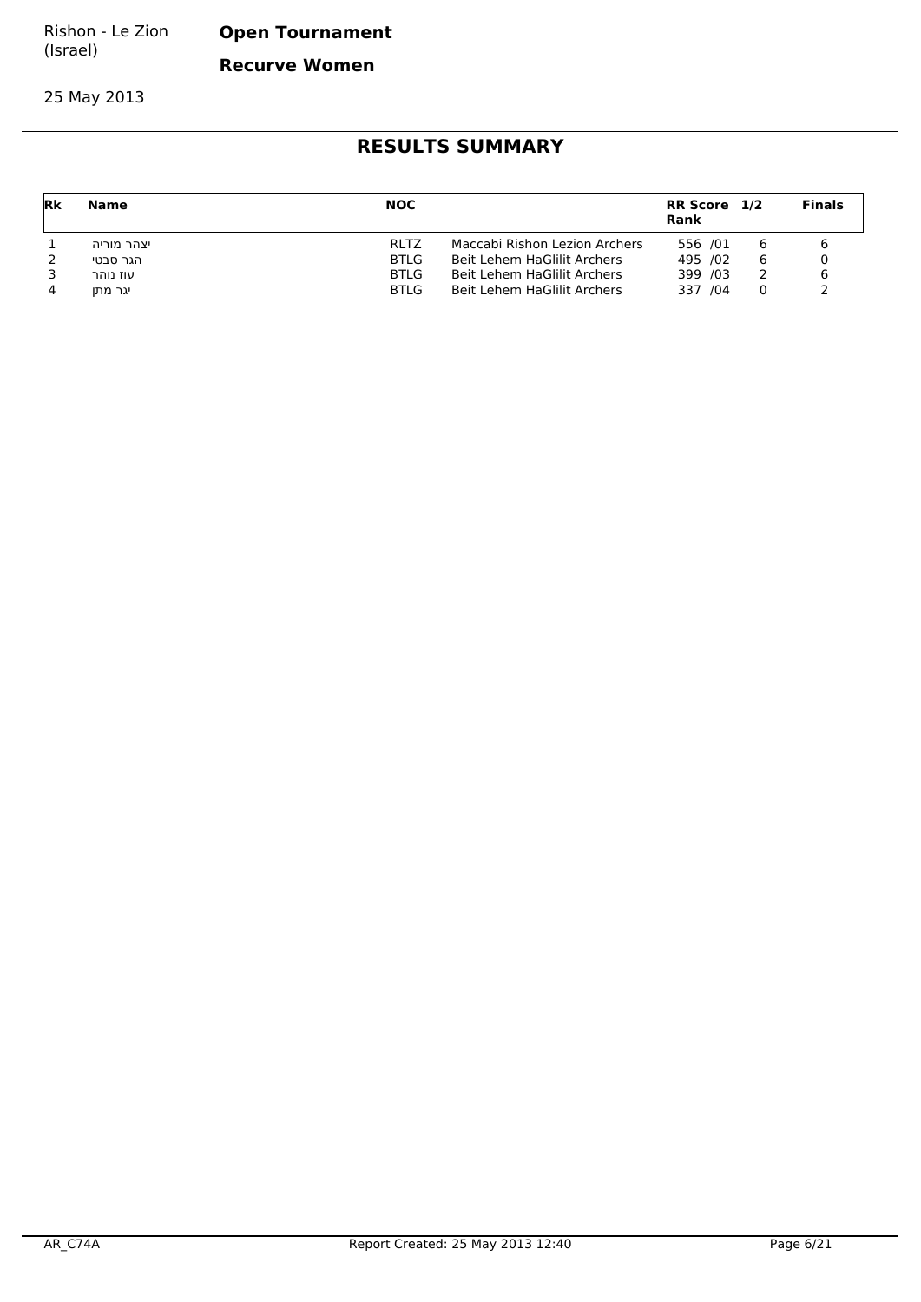**Open Tournament**

**Recurve Women**

25 May 2013

| Rk | Name       | <b>NOC</b>  |                               | RR Score 1/2<br>Rank |   | <b>Finals</b> |
|----|------------|-------------|-------------------------------|----------------------|---|---------------|
|    | יצהר מוריה | RI TZ       | Maccabi Rishon Lezion Archers | 556 /01              |   |               |
|    | הגר סבטי   | <b>BTLG</b> | Beit Lehem HaGlilit Archers   | 495 /02              | 6 |               |
|    | עוז נוהר   | <b>BTLG</b> | Beit Lehem HaGlilit Archers   | 399 /03              |   |               |
| 4  | יגר מתו    | <b>BTLG</b> | Beit Lehem HaGlilit Archers   | 337 / 04             |   |               |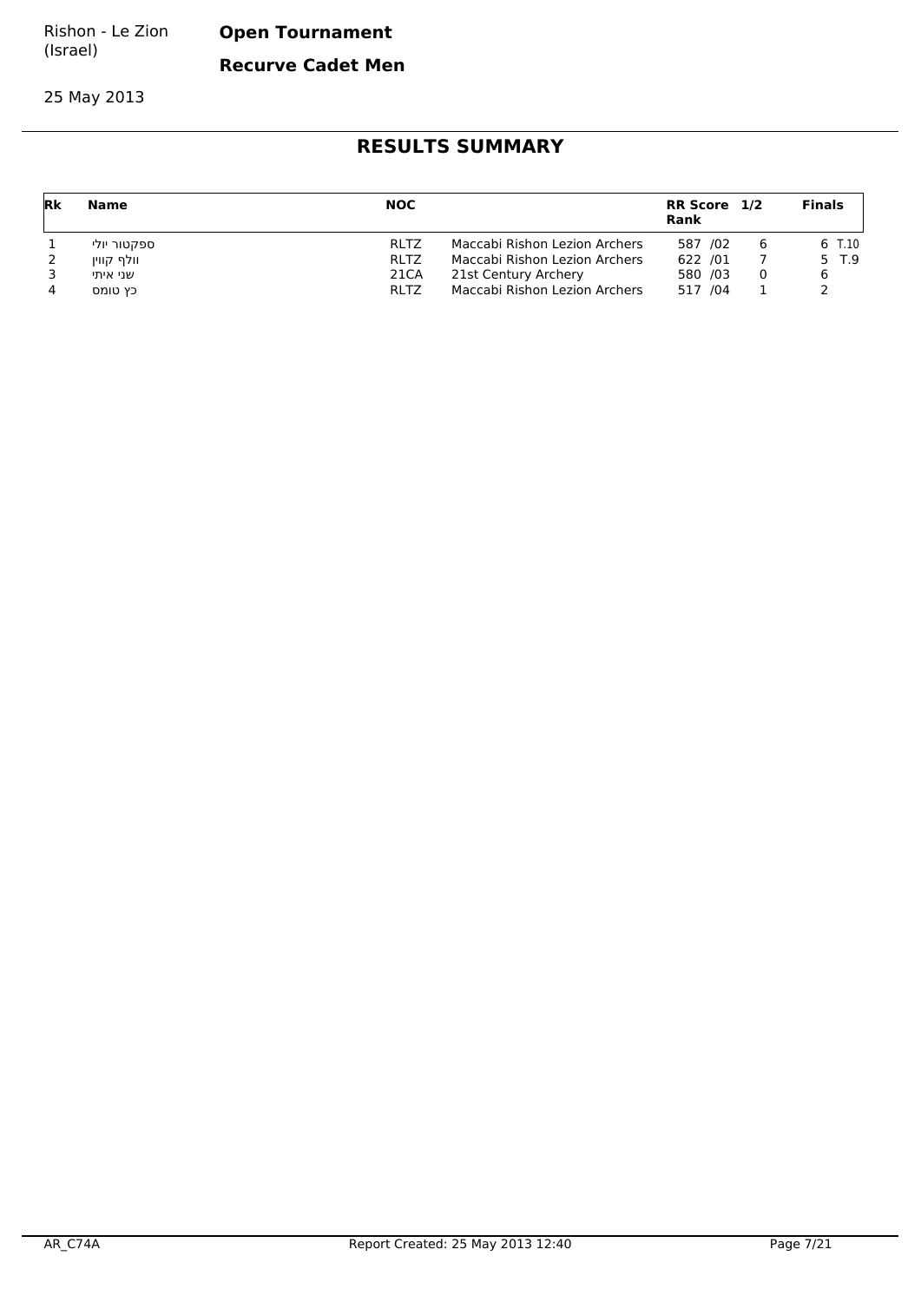**Open Tournament**

**Recurve Cadet Men**

25 May 2013

| Rk | Name        | <b>NOC</b>  |                               | RR Score 1/2<br>Rank |   | <b>Finals</b> |
|----|-------------|-------------|-------------------------------|----------------------|---|---------------|
|    | ספקטור יולי | <b>RLTZ</b> | Maccabi Rishon Lezion Archers | 587 /02              |   | 6 T.10        |
|    | וולף קווין  | <b>RLTZ</b> | Maccabi Rishon Lezion Archers | 622 /01              |   | $5$ T.9       |
|    | שני איתי    | 21CA        | 21st Century Archery          | 580 /03              | 0 |               |
|    | כץ טומס     | <b>RLTZ</b> | Maccabi Rishon Lezion Archers | 517 /04              |   |               |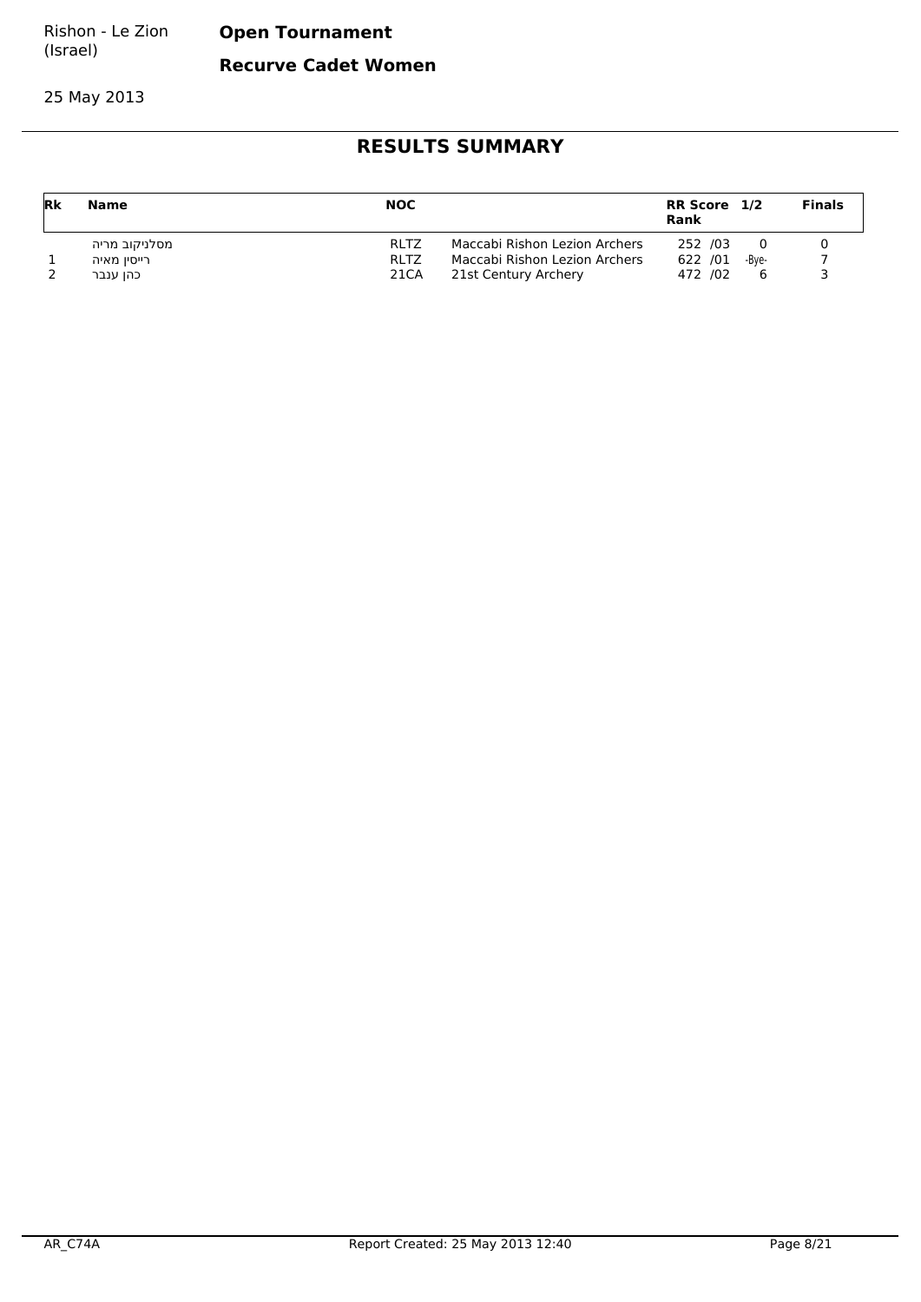**Open Tournament**

**Recurve Cadet Women**

25 May 2013

| Rk | Name          | <b>NOC</b>  |                               | RR Score 1/2<br><b>Rank</b> |       | <b>Finals</b> |
|----|---------------|-------------|-------------------------------|-----------------------------|-------|---------------|
|    | מסלניקוב מריה | <b>RLTZ</b> | Maccabi Rishon Lezion Archers | 252 /03                     |       |               |
|    | רייסיו מאיה   | <b>RLTZ</b> | Maccabi Rishon Lezion Archers | 622 /01                     | -Bve- |               |
|    | כהן ענבר      | 21CA        | 21st Century Archery          | 472 /02                     |       |               |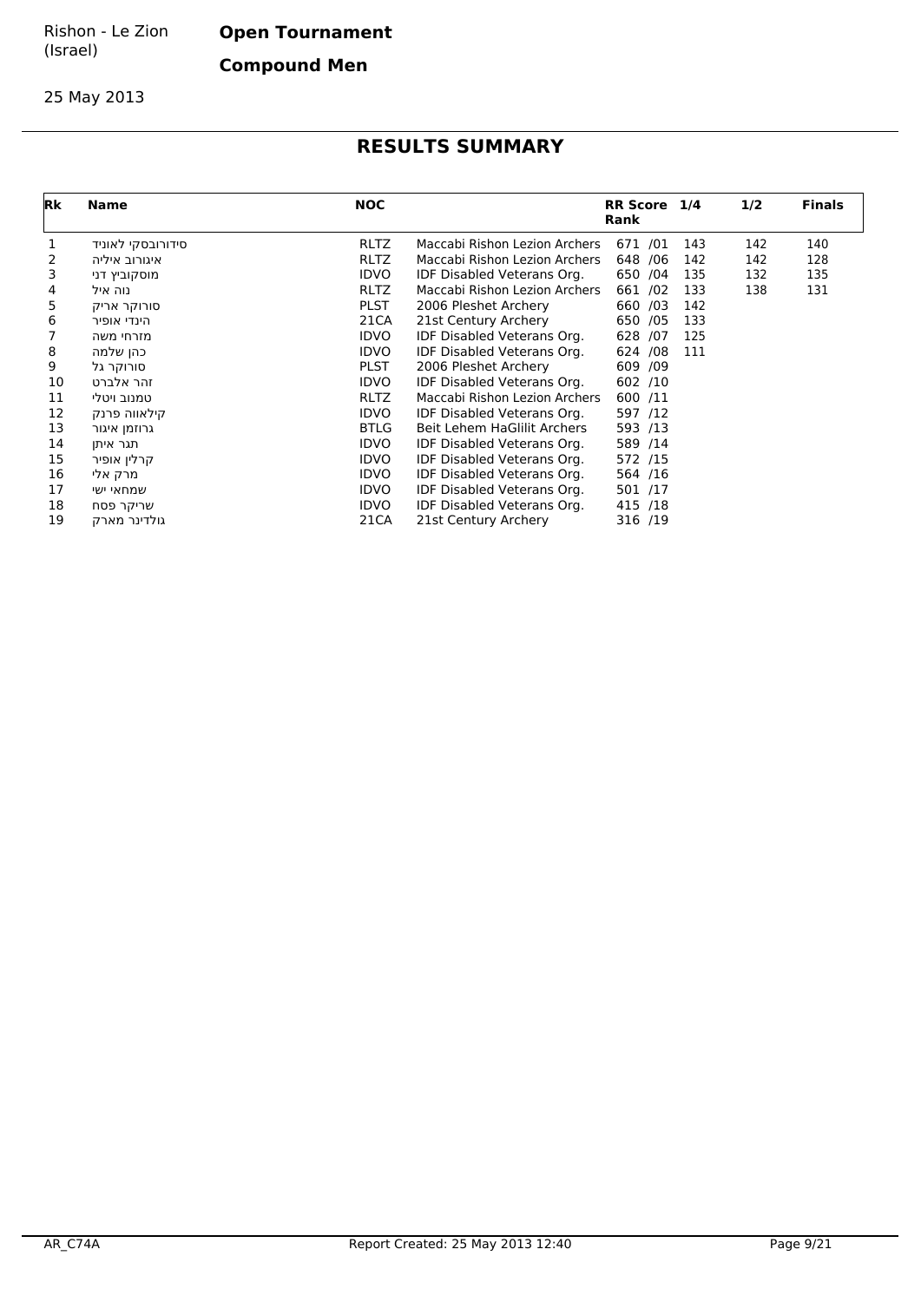**Open Tournament**

**Compound Men**

25 May 2013

| <b>Rk</b> | <b>Name</b>       | <b>NOC</b>  |                               | <b>RR Score</b><br>Rank | 1/4 | 1/2 | <b>Finals</b> |
|-----------|-------------------|-------------|-------------------------------|-------------------------|-----|-----|---------------|
| 1         | סידורובסקי לאוניד | <b>RLTZ</b> | Maccabi Rishon Lezion Archers | 671 /01                 | 143 | 142 | 140           |
| 2         | איגורוב איליה     | <b>RLTZ</b> | Maccabi Rishon Lezion Archers | 648 / 06                | 142 | 142 | 128           |
| 3         | מוסקוביץ דני      | <b>IDVO</b> | IDF Disabled Veterans Org.    | 650 /04                 | 135 | 132 | 135           |
| 4         | נוה איל           | <b>RLTZ</b> | Maccabi Rishon Lezion Archers | 661 /02                 | 133 | 138 | 131           |
| 5         | סורוקר אריק       | <b>PLST</b> | 2006 Pleshet Archery          | 660 /03                 | 142 |     |               |
| 6         | הינדי אופיר       | 21CA        | 21st Century Archery          | 650 /05                 | 133 |     |               |
|           | מזרחי משה         | <b>IDVO</b> | IDF Disabled Veterans Org.    | 628 /07                 | 125 |     |               |
| 8         | כהן שלמה          | <b>IDVO</b> | IDF Disabled Veterans Org.    | 624 / 08                | 111 |     |               |
| 9         | סורוקר גל         | <b>PLST</b> | 2006 Pleshet Archery          | 609 /09                 |     |     |               |
| 10        | זהר אלברט         | <b>IDVO</b> | IDF Disabled Veterans Org.    | 602 /10                 |     |     |               |
| 11        | טמנוב ויטלי       | <b>RLTZ</b> | Maccabi Rishon Lezion Archers | 600 /11                 |     |     |               |
| 12        | קילאווה פרנק      | <b>IDVO</b> | IDF Disabled Veterans Org.    | 597 /12                 |     |     |               |
| 13        | גרוזמן איגור      | <b>BTLG</b> | Beit Lehem HaGlilit Archers   | 593 /13                 |     |     |               |
| 14        | תגר איתן          | <b>IDVO</b> | IDF Disabled Veterans Org.    | 589 /14                 |     |     |               |
| 15        | קרלין אופיר       | <b>IDVO</b> | IDF Disabled Veterans Org.    | 572 /15                 |     |     |               |
| 16        | מרק אלי           | <b>IDVO</b> | IDF Disabled Veterans Org.    | 564 /16                 |     |     |               |
| 17        | שמחאי ישי         | <b>IDVO</b> | IDF Disabled Veterans Org.    | 501 /17                 |     |     |               |
| 18        | שריקר פסח         | <b>IDVO</b> | IDF Disabled Veterans Org.    | 415 /18                 |     |     |               |
| 19        | גולדינר מארק      | 21CA        | 21st Century Archery          | 316 /19                 |     |     |               |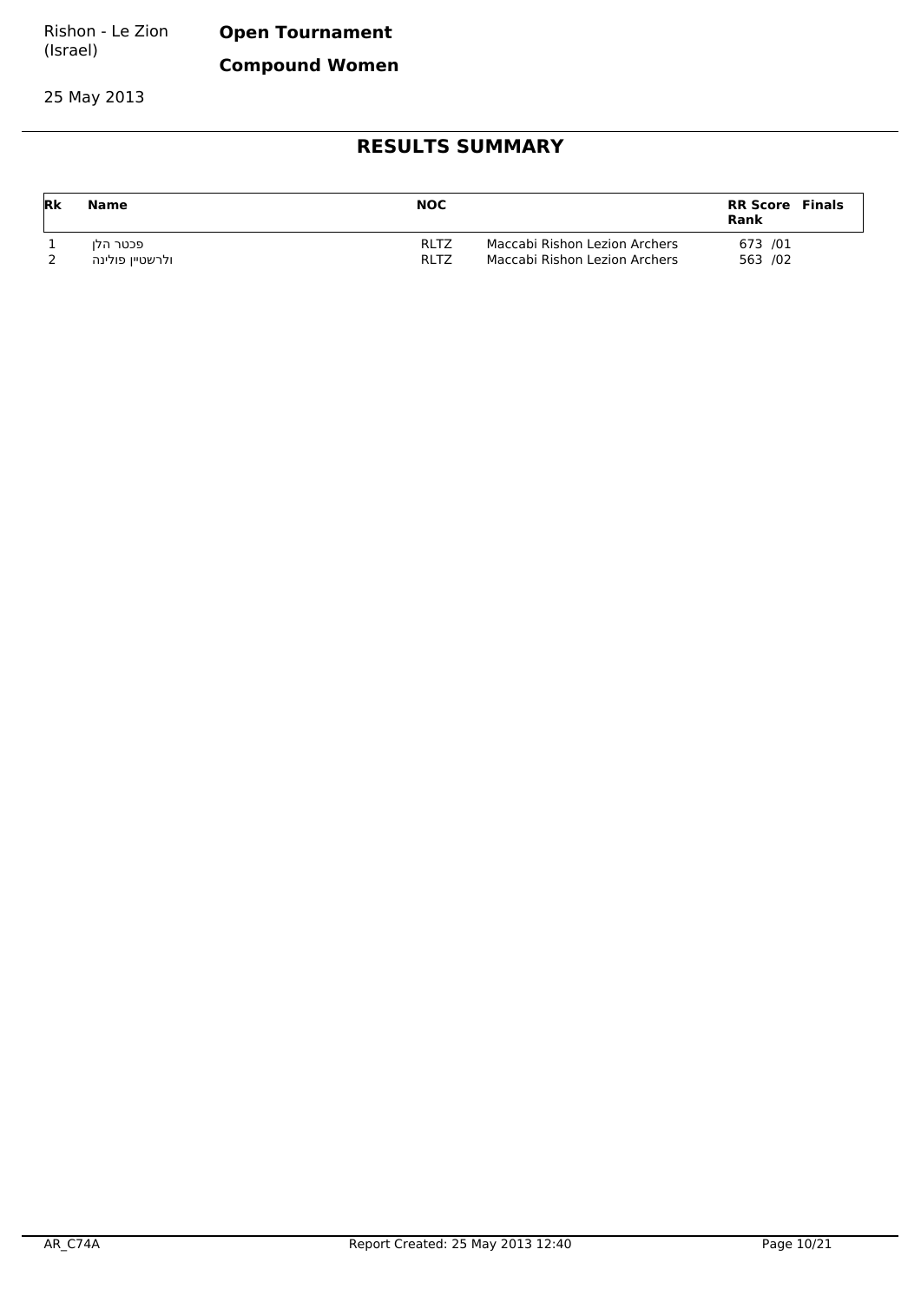**Open Tournament**

**Compound Women**

25 May 2013

| Rk | Name            | <b>NOC</b>  |                               | <b>RR Score Finals</b><br><b>Rank</b> |  |
|----|-----------------|-------------|-------------------------------|---------------------------------------|--|
|    | פכטר הלו        | <b>RLTZ</b> | Maccabi Rishon Lezion Archers | 673 /01                               |  |
|    | ולרשטיין פולינה | <b>RLTZ</b> | Maccabi Rishon Lezion Archers | 563 /02                               |  |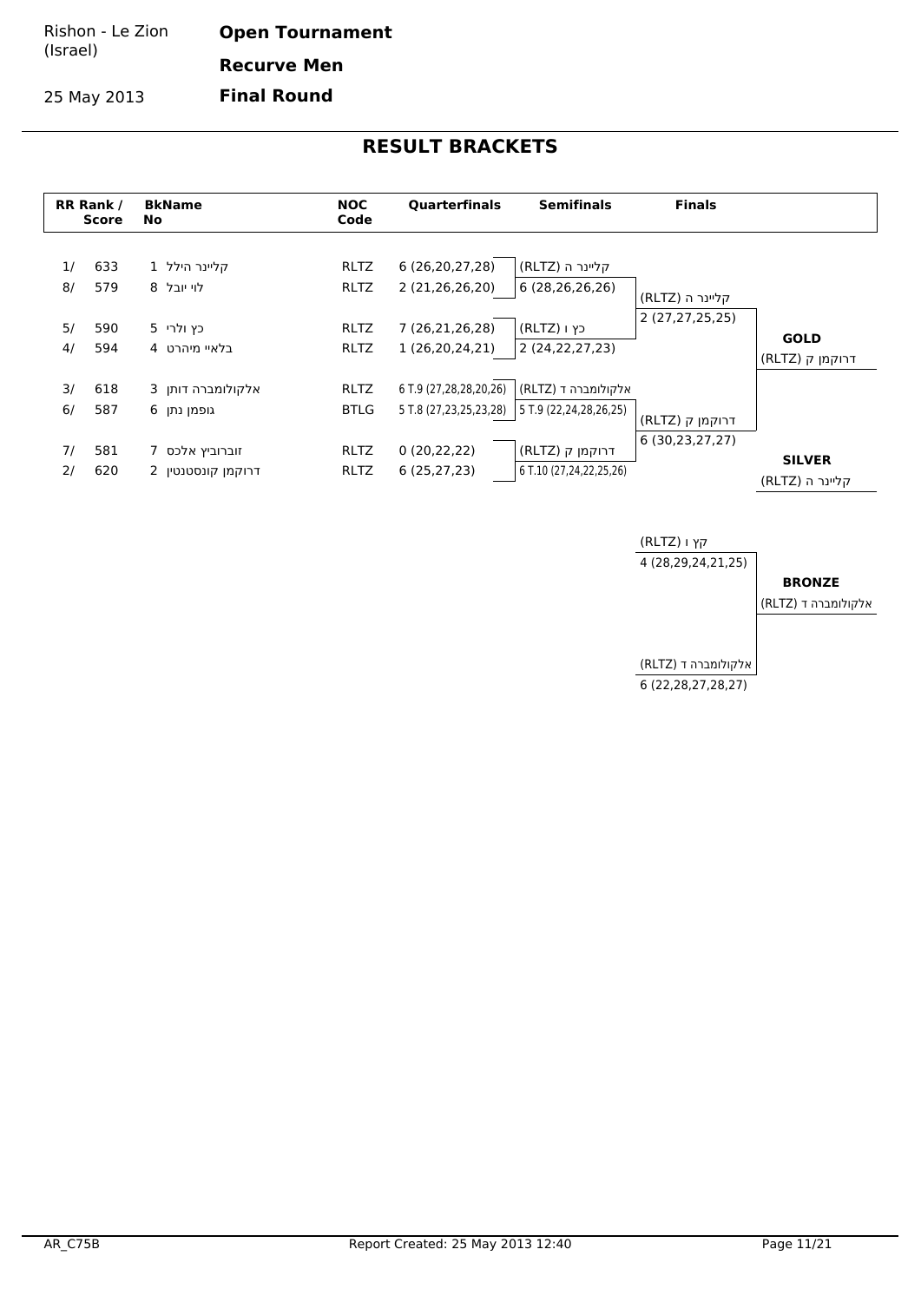**Open Tournament Recurve Men**

**Final Round**

25 May 2013



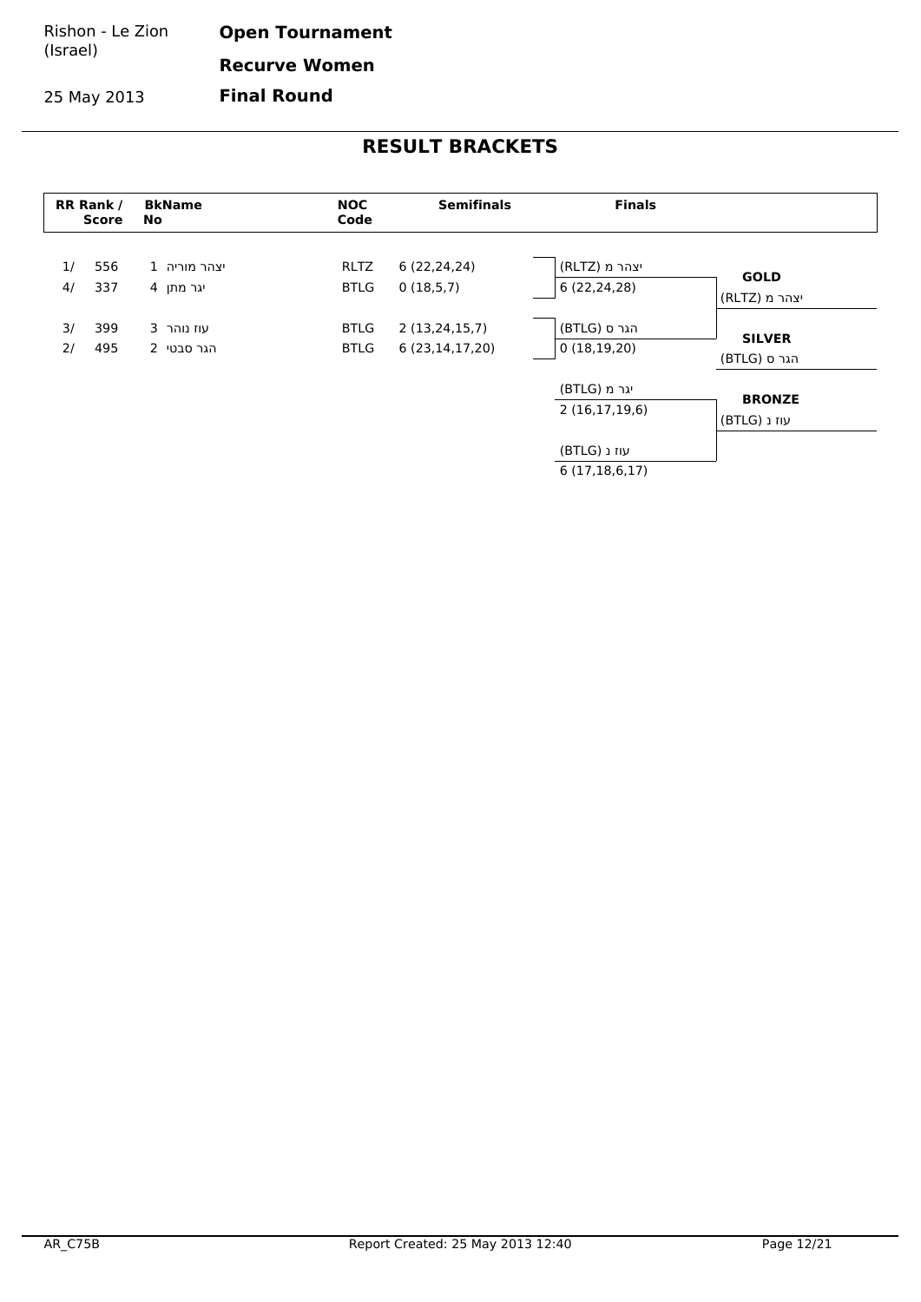25 May 2013

**Open Tournament Recurve Women**

**Final Round**

|          | RR Rank /<br><b>Score</b> | <b>BkName</b><br>No       | <b>NOC</b><br>Code         | <b>Semifinals</b>                   | <b>Finals</b>                    |                               |
|----------|---------------------------|---------------------------|----------------------------|-------------------------------------|----------------------------------|-------------------------------|
| 1/<br>4/ | 556<br>337                | יצהר מוריה 1<br>יגר מתן 4 | <b>RLTZ</b><br><b>BTLG</b> | 6(22, 24, 24)<br>0(18,5,7)          | יצהר מ (RLTZ)<br>6 (22,24,28)    | <b>GOLD</b><br>יצהר מ (RLTZ)  |
| 3/<br>2/ | 399<br>495                | עוז נוהר 3<br>הגר סבטי 2  | <b>BTLG</b><br><b>BTLG</b> | 2(13, 24, 15, 7)<br>6 (23,14,17,20) | הגר ס (BTLG)<br>0(18,19,20)      | <b>SILVER</b><br>הגר ס (BTLG) |
|          |                           |                           |                            |                                     | יגר מ (BTLG)<br>2(16,17,19,6)    | <b>BRONZE</b><br>עוז נ (BTLG) |
|          |                           |                           |                            |                                     | עוז נ (BTLG)<br>6(17, 18, 6, 17) |                               |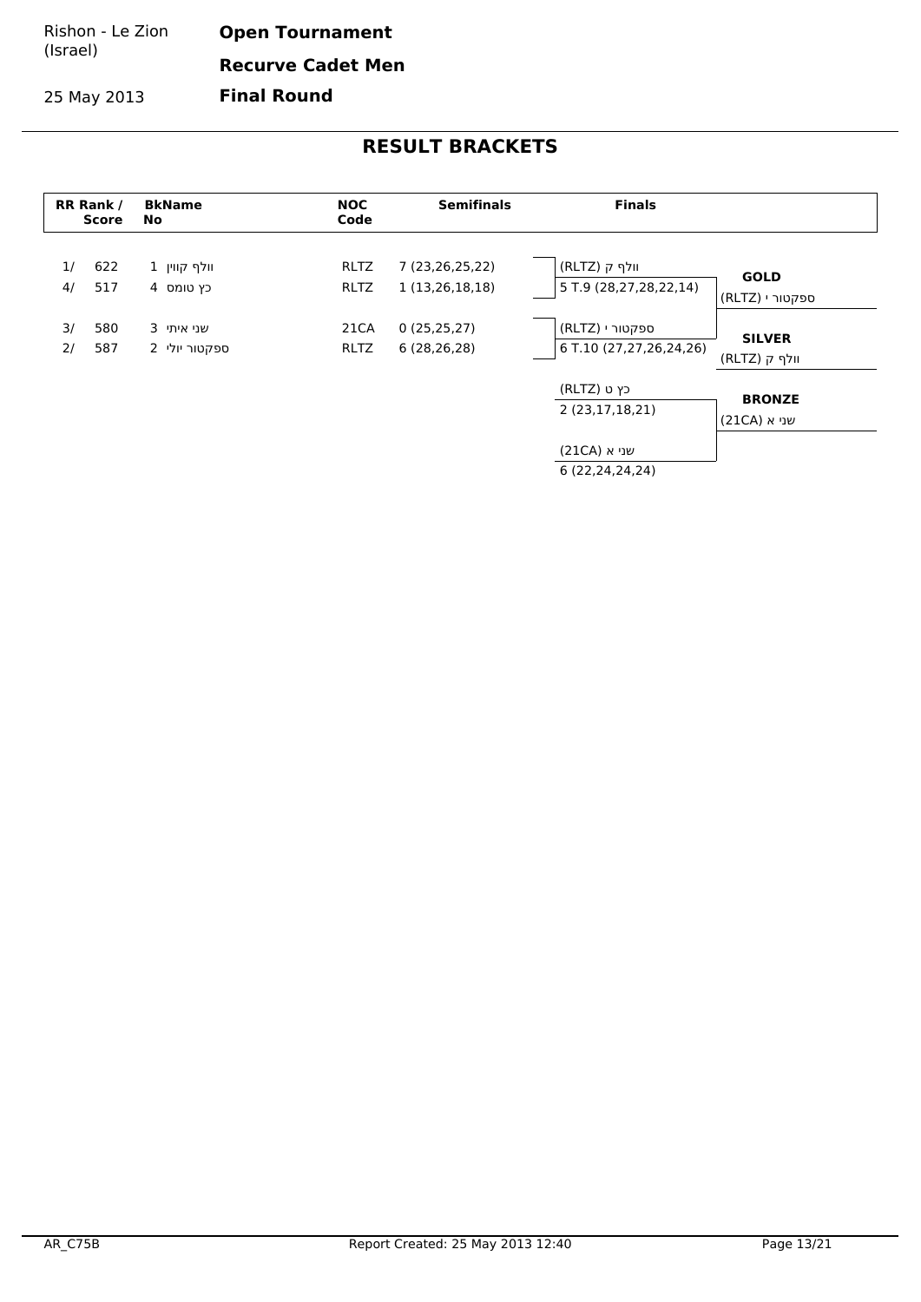Rishon - Le Zion (Israel) **Open Tournament Recurve Cadet Men**

**Final Round**

25 May 2013

|          | RR Rank /<br><b>Score</b> | <b>BkName</b><br>No         | <b>NOC</b><br>Code  | <b>Semifinals</b>                  | <b>Finals</b>                              |                                |
|----------|---------------------------|-----------------------------|---------------------|------------------------------------|--------------------------------------------|--------------------------------|
| 1/<br>4/ | 622<br>517                | 1 וולף קווין<br>4 כץ טומס   | <b>RLTZ</b><br>RLTZ | 7 (23,26,25,22)<br>1 (13,26,18,18) | וולף ק (RLTZ)<br>5 T.9 (28,27,28,22,14)    | <b>GOLD</b><br>ספקטור י (RLTZ) |
| 3/<br>2/ | 580<br>587                | 3 שני איתי<br>0פקטור יולי 2 | 21CA<br><b>RLTZ</b> | 0(25, 25, 27)<br>6(28, 26, 28)     | ספקטור י (RLTZ)<br>6 T.10 (27,27,26,24,26) | <b>SILVER</b><br>וולף ק (RLTZ) |
|          |                           |                             |                     |                                    | (RLTZ) כץ ט<br>2 (23,17,18,21)             | <b>BRONZE</b><br>שני א (21CA)  |
|          |                           |                             |                     |                                    | שני א (21CA)<br>6(22, 24, 24, 24)          |                                |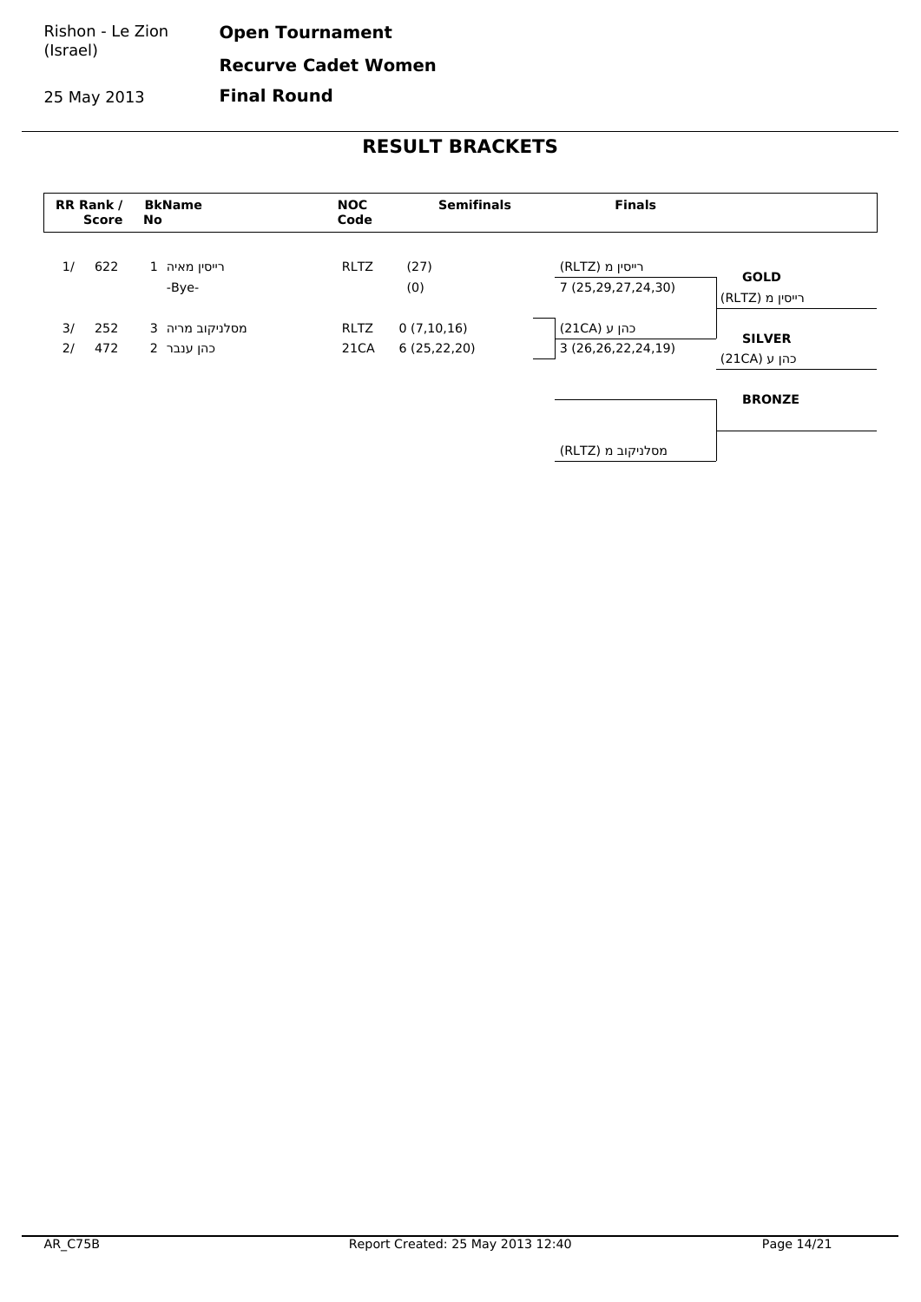Rishon - Le Zion (Israel) **Open Tournament Recurve Cadet Women Final Round**

25 May 2013

|          | RR Rank /<br><b>Score</b> | <b>BkName</b><br>No           | <b>NOC</b><br>Code  | <b>Semifinals</b>           | <b>Finals</b>                         |                                |
|----------|---------------------------|-------------------------------|---------------------|-----------------------------|---------------------------------------|--------------------------------|
| 1/       | 622                       | 1 רייסין מאיה<br>-Bye-        | <b>RLTZ</b>         | (27)<br>(0)                 | רייסין מ (RLTZ)<br>7 (25,29,27,24,30) | <b>GOLD</b><br>רייסין מ (RLTZ) |
| 3/<br>2/ | 252<br>472                | מסלניקוב מריה 3<br>כהן ענבר 2 | <b>RLTZ</b><br>21CA | 0(7,10,16)<br>6(25, 22, 20) | כהן ע (21CA)<br>3(26, 26, 22, 24, 19) | <b>SILVER</b><br>כהן ע (21CA)  |
|          |                           |                               |                     |                             |                                       | <b>BRONZE</b>                  |
|          |                           |                               |                     |                             | מסלניקוב מ (RLTZ)                     |                                |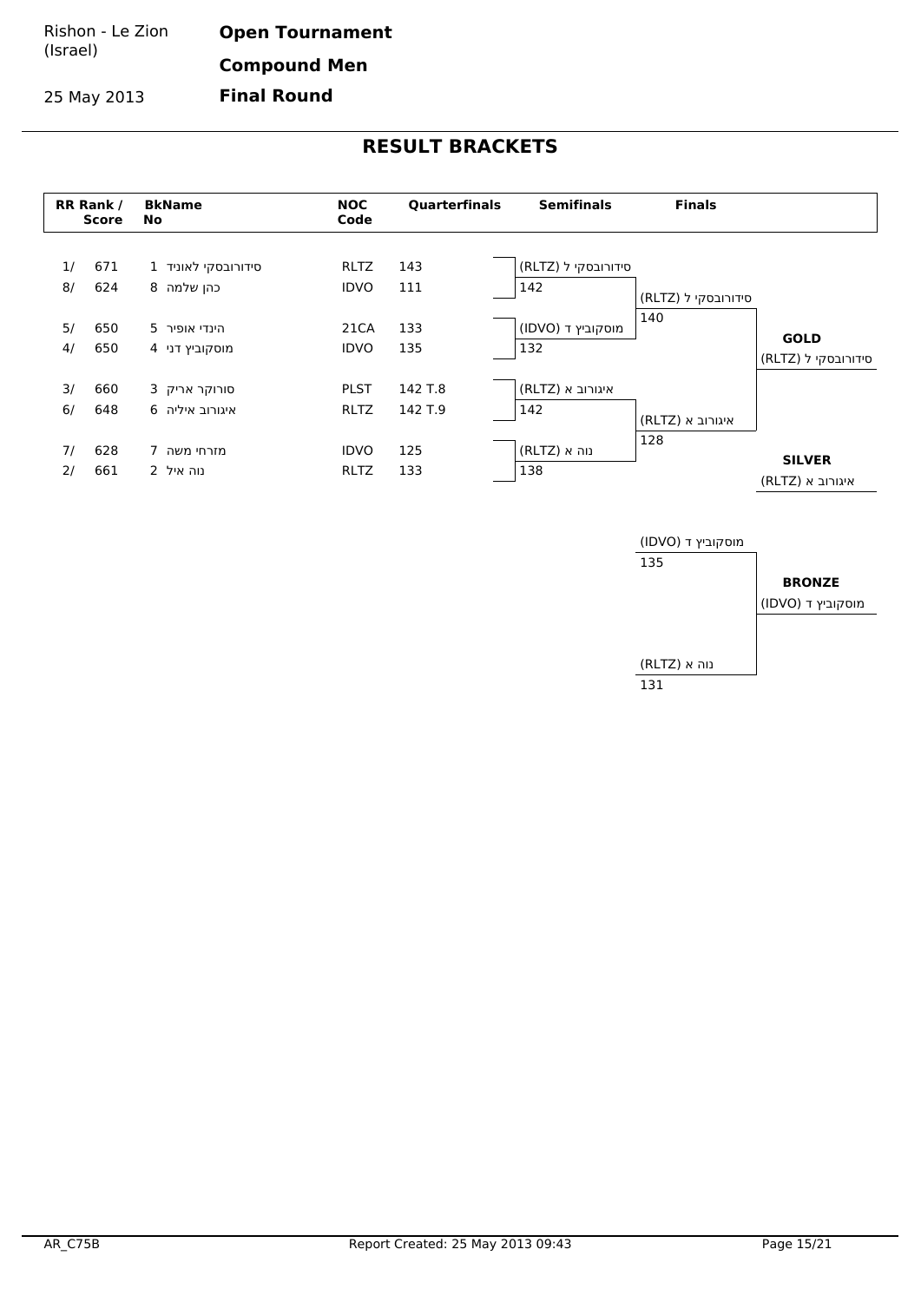#### Rishon - Le Zion (Israel) **Open Tournament**

**Compound Men**

**Final Round**

25 May 2013



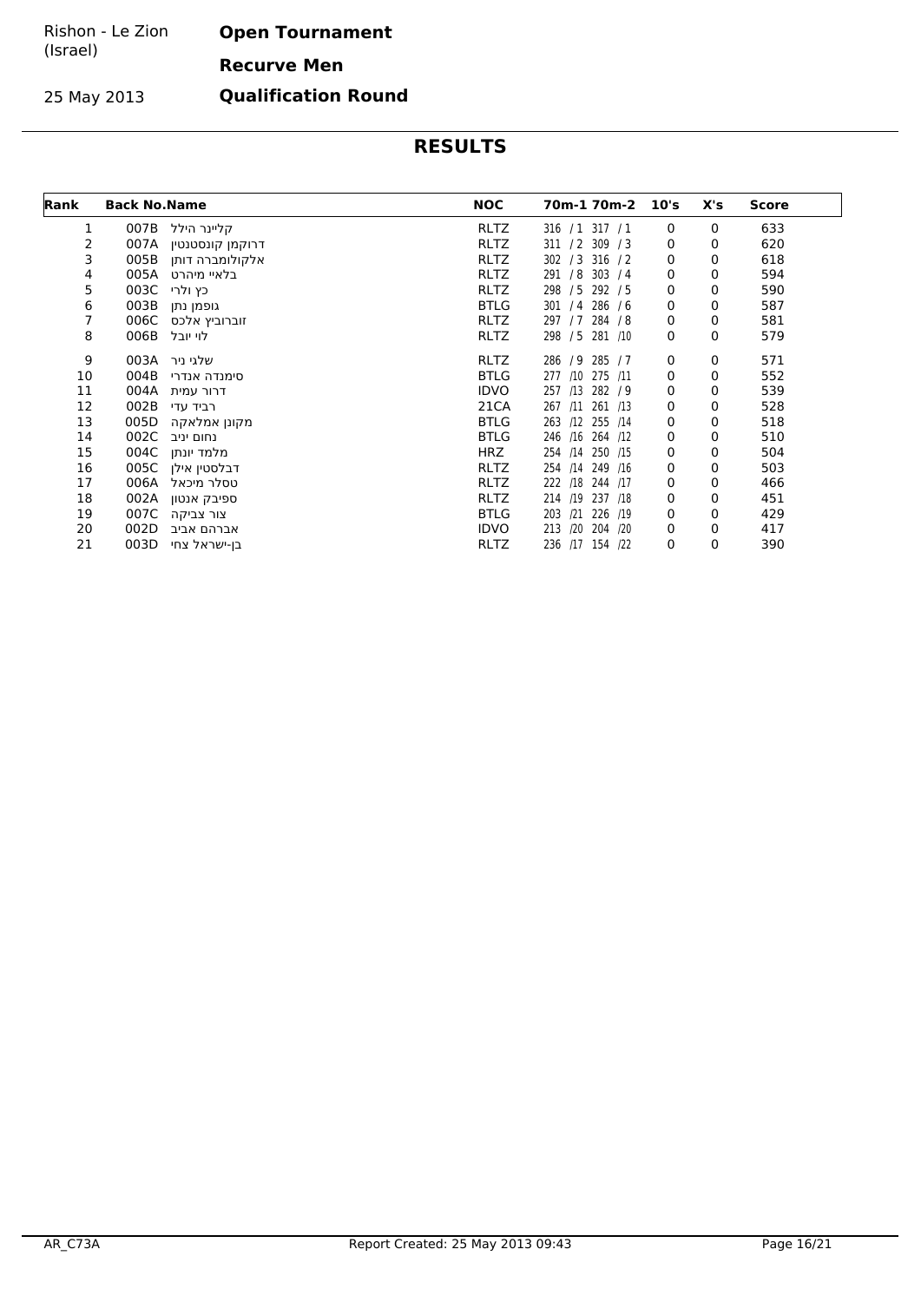#### Rishon - Le Zion (Israel) **Open Tournament**

25 May 2013

**Qualification Round**

**Recurve Men**

| Rank | <b>Back No. Name</b> |                  | <b>NOC</b>  |            | 70m-1 70m-2 10's |   | X's | <b>Score</b> |  |
|------|----------------------|------------------|-------------|------------|------------------|---|-----|--------------|--|
| 1    | 007B                 | קליינר הילל      | <b>RLTZ</b> |            | 316 / 1 317 / 1  | 0 | 0   | 633          |  |
| 2    | 007A                 | דרוקמן קונסטנטין | <b>RLTZ</b> |            | 311 / 2 309 / 3  | 0 | 0   | 620          |  |
| 3    | 005B                 | אלקולומברה דותן  | <b>RLTZ</b> |            | 302 / 3 316 / 2  | 0 | 0   | 618          |  |
| 4    | 005A                 | בלאיי מיהרט      | <b>RLTZ</b> |            | 291 / 8 303 / 4  | 0 | 0   | 594          |  |
| 5    | 003C                 | כץ ולרי          | <b>RLTZ</b> |            | 298 / 5 292 / 5  | 0 | 0   | 590          |  |
| 6    | 003B                 | גופמן נתן        | <b>BTLG</b> |            | 301 / 4 286 / 6  | 0 | 0   | 587          |  |
| 7    | 006C                 | זוברוביץ אלכס    | RLTZ        | 297 / 7    | 284 / 8          | 0 | 0   | 581          |  |
| 8    | 006B                 | לוי יובל         | <b>RLTZ</b> |            | 298 / 5 281 /10  | 0 | 0   | 579          |  |
| 9    |                      | שלגי ניר 003A    | RLTZ        |            | 286 / 9 285 / 7  | 0 | 0   | 571          |  |
| 10   | 004B                 | סימנדה אנדרי     | <b>BTLG</b> | 277<br>/10 | 275 /11          | 0 | 0   | 552          |  |
| 11   | 004A                 | דרור עמית        | <b>IDVO</b> | 257<br>/13 | 282 / 9          | 0 | 0   | 539          |  |
| 12   | 002B                 | רביד עדי         | 21CA        | 267<br>/11 | 261 /13          | 0 | 0   | 528          |  |
| 13   | 005D                 | מקונן אמלאקה     | <b>BTLG</b> | 263<br>/12 | 255 /14          | 0 | 0   | 518          |  |
| 14   | 002C                 | נחום יניב        | <b>BTLG</b> |            | 246 /16 264 /12  | 0 | 0   | 510          |  |
| 15   | 004C                 | מלמד יונתן       | <b>HRZ</b>  | 254 /14    | 250 /15          | 0 | 0   | 504          |  |
| 16   | 005C                 | דבלסטין אילן     | RLTZ        |            | 254 /14 249 /16  | 0 | 0   | 503          |  |
| 17   | 006A                 | טסלר מיכאל       | RLTZ        | 222 /18    | 244 /17          | 0 | 0   | 466          |  |
| 18   | 002A                 | ספיבק אנטון      | <b>RLTZ</b> | 214 / 19   | 237 /18          | 0 | 0   | 451          |  |
| 19   | 007C                 | צור צביקה        | <b>BTLG</b> | 203<br>/21 | 226 /19          | 0 | 0   | 429          |  |
| 20   | 002D                 | אברהם אביב       | <b>IDVO</b> | 213<br>/20 | 204<br>120       | 0 | 0   | 417          |  |
| 21   | 003D                 | בן-ישראל צחי     | RLTZ        |            | 236 /17 154 /22  | 0 | 0   | 390          |  |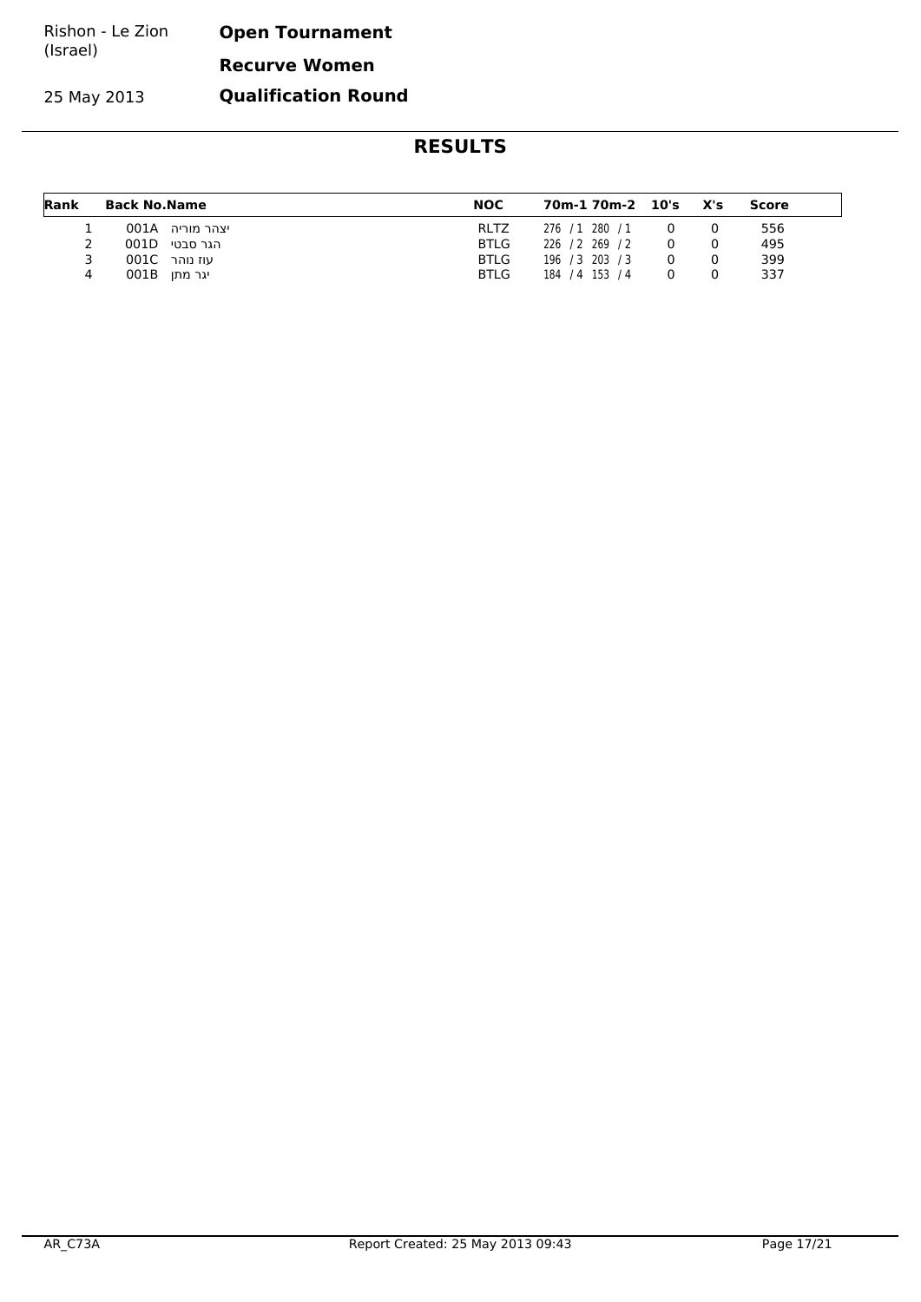Rishon - Le Zion (Israel) **Open Tournament Recurve Women**

**Qualification Round**

25 May 2013

| Rank | <b>Back No.Name</b> | <b>NOC</b>  | 70m-1 70m-2 10's X's |  | Score |
|------|---------------------|-------------|----------------------|--|-------|
|      | יצהר מוריה  001A    | <b>RLTZ</b> | 276 / 1 280 / 1      |  | 556   |
| 2    | הגר סבטי _001D      | <b>BTLG</b> | 226 / 2 269 / 2      |  | 495   |
|      | עוז נוהר _001C      | <b>BTLG</b> | 196 / 3 203 / 3      |  | 399   |
| 4    | יגר מתן 001B        | <b>BTLG</b> | 184 / 4 153 / 4      |  | 337   |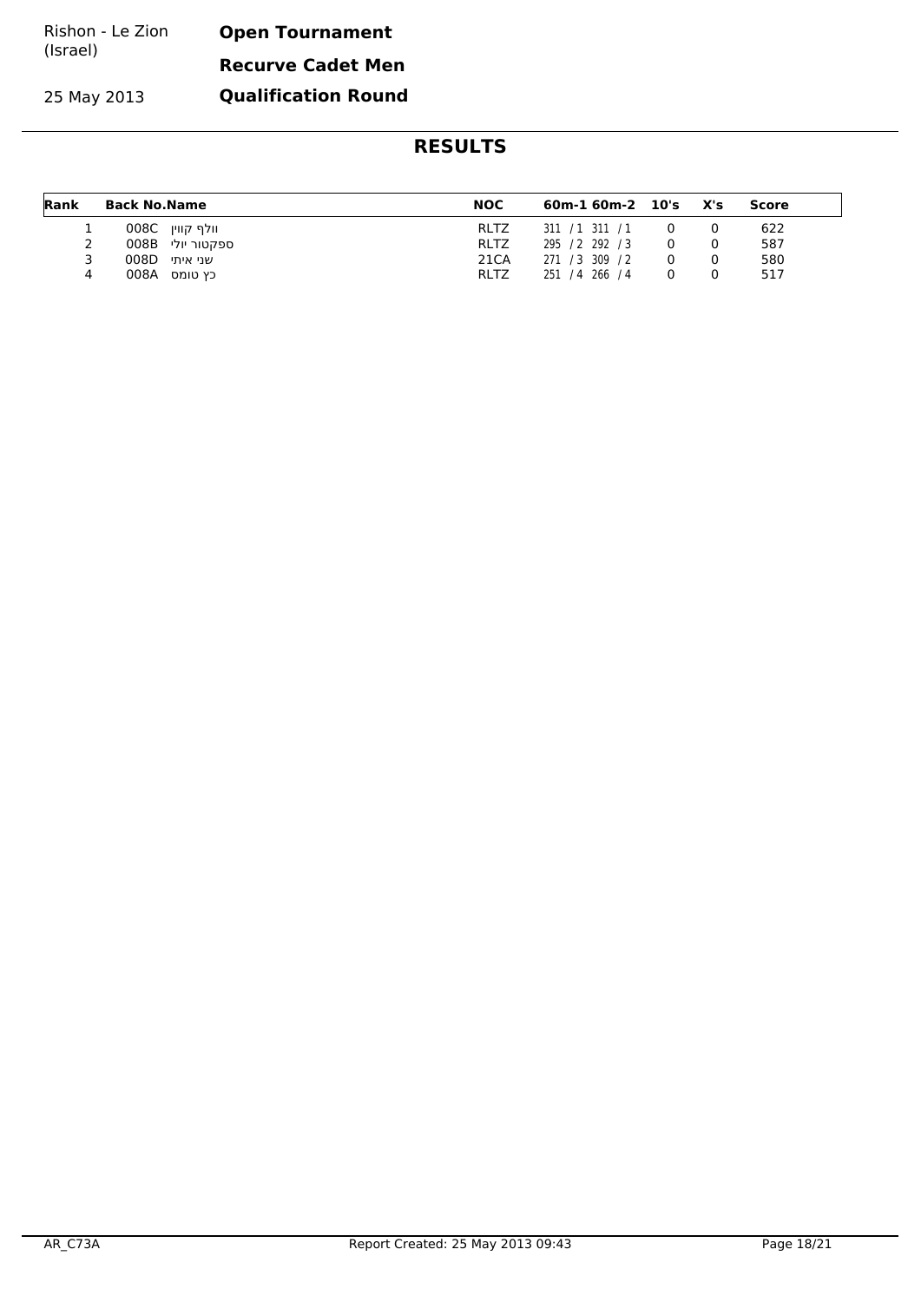| Rishon - Le Zion | <b>Open Tournament</b>   |
|------------------|--------------------------|
| (Israel)         | <b>Recurve Cadet Men</b> |

**Qualification Round**

25 May 2013

| Rank | <b>Back No.Name</b>  | <b>NOC</b>  | $60m-160m-2$ $10's$ X's |  | Score |
|------|----------------------|-------------|-------------------------|--|-------|
| Ŧ.   | וולף קווין  008C     | <b>RLTZ</b> | 311 / 1 311 / 1         |  | 622   |
| 2    | ספקטור יולי   008B   | <b>RLTZ</b> | 295 / 2 292 / 3         |  | 587   |
|      | שני איתי <b>008D</b> | 21CA        | 271 / 3 309 / 2         |  | 580   |
| 4    | כץ טומס 008A         | <b>RLTZ</b> | 251 / 4 266 / 4         |  | 517   |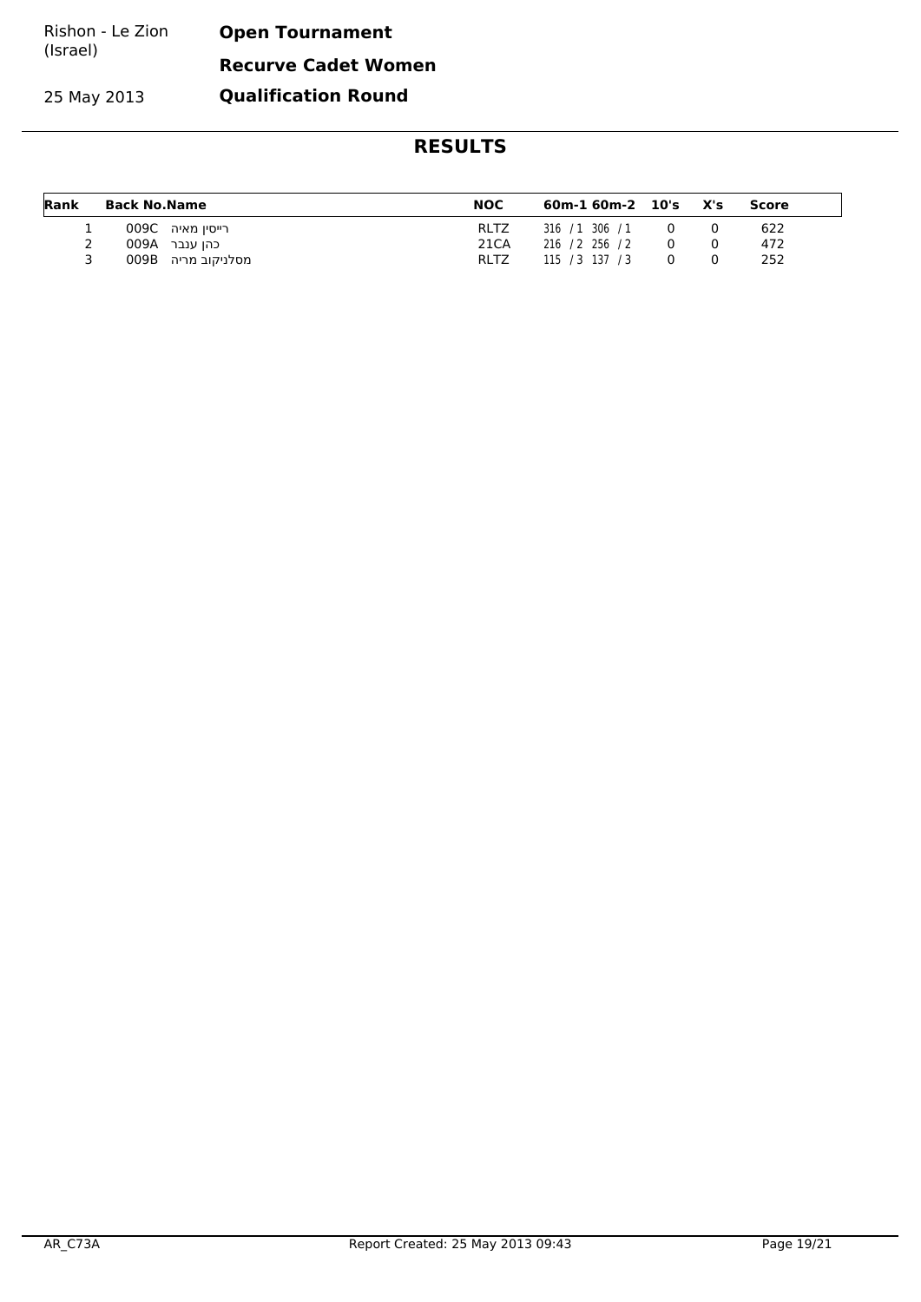| Rishon - Le Zion | <b>Open Tournament</b>     |
|------------------|----------------------------|
| (Israel)         | <b>Recurve Cadet Women</b> |

**Qualification Round**

25 May 2013

| Rank | <b>Back No.Name</b> | <b>NOC</b>  | $60m-160m-2$ $10's$ $X's$ |   | Score |
|------|---------------------|-------------|---------------------------|---|-------|
| Ŧ    | 009C רייסין מאיה    | <b>RLTZ</b> | 316 / 1 306 / 1           | 0 | 622   |
|      | כהו ענבר  009A      | 21CA        | 216 / 2 256 / 2           |   | 472   |
|      | מסלניקוב מריה 009B  | <b>RLTZ</b> | 115 / 3 137 / 3           |   | 252   |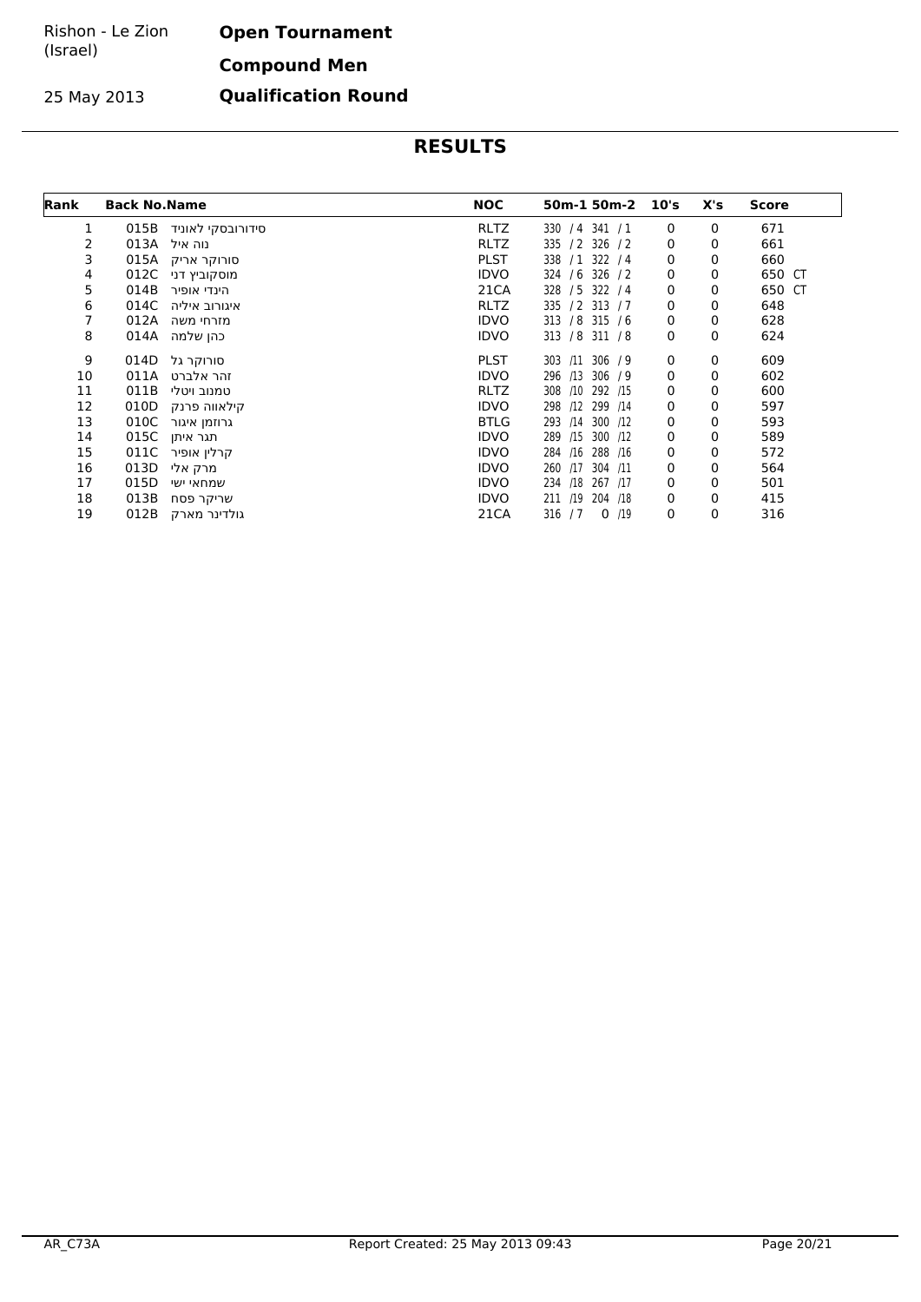#### Rishon - Le Zion (Israel) **Open Tournament Compound Men**

25 May 2013

**Qualification Round**

| Rank | <b>Back No. Name</b> |                   | <b>NOC</b>  | 50m-1 50m-2                | 10's | X's | <b>Score</b> |
|------|----------------------|-------------------|-------------|----------------------------|------|-----|--------------|
| 1    | 015B                 | סידורובסקי לאוניד | <b>RLTZ</b> | 330 / 4 341 / 1            | 0    | 0   | 671          |
| 2    | 013A                 | נוה איל           | RLTZ        | 335 / 2 326 / 2            | 0    | 0   | 661          |
| 3    | 015A                 | סורוקר אריק       | <b>PLST</b> | 322 / 4<br>338 / 1         | 0    | 0   | 660          |
| 4    | 012C                 | מוסקוביץ דני      | <b>IDVO</b> | 324 / 6<br>326/2           | 0    | 0   | 650 CT       |
| 5    | 014B                 | הינדי אופיר       | 21CA        | 328 / 5 322 / 4            | 0    | 0   | 650 CT       |
| 6    | 014C                 | איגורוב איליה     | <b>RLTZ</b> | 335 / 2 313 / 7            | 0    | 0   | 648          |
| 7    | 012A                 | מזרחי משה         | <b>IDVO</b> | 313 / 8 315 / 6            | 0    | 0   | 628          |
| 8    |                      | כהן שלמה 014A     | <b>IDVO</b> | 313 / 8 311 / 8            | 0    | 0   | 624          |
| 9    | 014D                 | סורוקר גל         | <b>PLST</b> | 306 / 9<br>303<br>/11      | 0    | 0   | 609          |
| 10   | 011A                 | זהר אלברט         | <b>IDVO</b> | 296<br>306 / 9<br>/13      | 0    | 0   | 602          |
| 11   | 011B                 | טמנוב ויטלי       | RLTZ        | 308 /10<br>292 /15         | 0    | 0   | 600          |
| 12   | 010D                 | קילאווה פרנק      | <b>IDVO</b> | 298 /12<br>299<br>/14      | 0    | 0   | 597          |
| 13   | 010C                 | גרוזמן איגור      | BTLG        | 293<br>300 /12<br>/14      | 0    | 0   | 593          |
| 14   | 015C                 | תגר איתן          | <b>IDVO</b> | 289<br>/15<br>300 / 12     | 0    | 0   | 589          |
| 15   | 011C                 | קרלין אופיר       | <b>IDVO</b> | /16<br>284<br>288 /16      | 0    | 0   | 572          |
| 16   | 013D                 | מרק אלי           | <b>IDVO</b> | 260<br>304 /11<br>/17      | 0    | 0   | 564          |
| 17   | 015D                 | שמחאי ישי         | <b>IDVO</b> | 234<br>/18<br>267 /17      | 0    | 0   | 501          |
| 18   | 013B                 | שריקר פסח         | <b>IDVO</b> | 204 /18<br>211 /19         | 0    | 0   | 415          |
| 19   | 012B                 | גולדינר מארק      | 21CA        | /19<br>316 / 7<br>$\Omega$ | 0    | 0   | 316          |